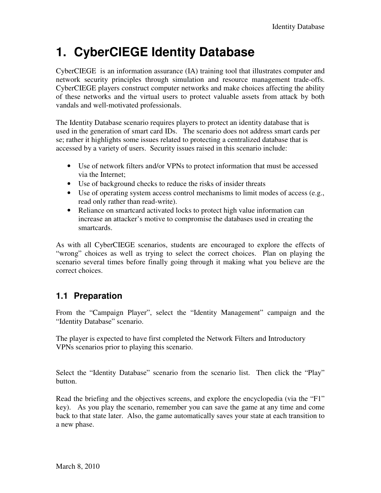# **1. CyberCIEGE Identity Database**

CyberCIEGE is an information assurance (IA) training tool that illustrates computer and network security principles through simulation and resource management trade-offs. CyberCIEGE players construct computer networks and make choices affecting the ability of these networks and the virtual users to protect valuable assets from attack by both vandals and well-motivated professionals.

The Identity Database scenario requires players to protect an identity database that is used in the generation of smart card IDs. The scenario does not address smart cards per se; rather it highlights some issues related to protecting a centralized database that is accessed by a variety of users. Security issues raised in this scenario include:

- Use of network filters and/or VPNs to protect information that must be accessed via the Internet;
- Use of background checks to reduce the risks of insider threats
- Use of operating system access control mechanisms to limit modes of access (e.g., read only rather than read-write).
- Reliance on smartcard activated locks to protect high value information can increase an attacker's motive to compromise the databases used in creating the smartcards.

As with all CyberCIEGE scenarios, students are encouraged to explore the effects of "wrong" choices as well as trying to select the correct choices. Plan on playing the scenario several times before finally going through it making what you believe are the correct choices.

## **1.1 Preparation**

From the "Campaign Player", select the "Identity Management" campaign and the "Identity Database" scenario.

The player is expected to have first completed the Network Filters and Introductory VPNs scenarios prior to playing this scenario.

Select the "Identity Database" scenario from the scenario list. Then click the "Play" button.

Read the briefing and the objectives screens, and explore the encyclopedia (via the "F1" key). As you play the scenario, remember you can save the game at any time and come back to that state later. Also, the game automatically saves your state at each transition to a new phase.